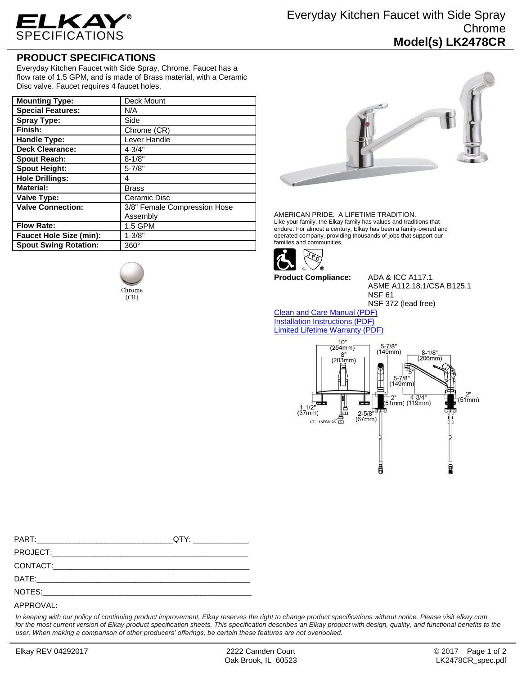

## **PRODUCT SPECIFICATIONS**

Everyday Kitchen Faucet with Side Spray, Chrome. Faucet has a flow rate of 1.5 GPM, and is made of Brass material, with a Ceramic Disc valve. Faucet requires 4 faucet holes.

| <b>Mounting Type:</b>          | Deck Mount                   |
|--------------------------------|------------------------------|
| <b>Special Features:</b>       | N/A                          |
| <b>Spray Type:</b>             | Side                         |
| Finish:                        | Chrome (CR)                  |
| <b>Handle Type:</b>            | Lever Handle                 |
| <b>Deck Clearance:</b>         | $4 - 3/4"$                   |
| <b>Spout Reach:</b>            | $8 - 1/8"$                   |
| <b>Spout Height:</b>           | $5 - 7/8"$                   |
| <b>Hole Drillings:</b>         | 4                            |
| <b>Material:</b>               | <b>Brass</b>                 |
| <b>Valve Type:</b>             | Ceramic Disc                 |
| <b>Valve Connection:</b>       | 3/8" Female Compression Hose |
|                                | Assembly                     |
| <b>Flow Rate:</b>              | 1.5 GPM                      |
| <b>Faucet Hole Size (min):</b> | $1 - 3/8"$                   |
| <b>Spout Swing Rotation:</b>   | $360^\circ$                  |

Chrome  $(CR)$ 



AMERICAN PRIDE. A LIFETIME TRADITION. Like your family, the Elkay family has values and traditions that endure. For almost a century, Elkay has been a family-owned and operated company, providing thousands of jobs that support our families and communities.



**Product Compliance:** ADA & ICC A117.1

ASME A112.18.1/CSA B125.1 NSF 61 NSF 372 (lead free)

[Clean and Care Manual \(PDF\)](http://www.elkay.com/wcsstore/lkdocs/care-cleaning-install-warranty-sheets/residential%20and%20commercial%20care%20%20cleaning.pdf) [Installation Instructions \(PDF\)](http://www.elkay.com/wcsstore/lkdocs/care-cleaning-install-warranty-sheets/lk2478cr%20install%202010-10-19.pdf) [Limited Lifetime Warranty](http://www.elkay.com/wcsstore/lkdocs/care-cleaning-install-warranty-sheets/residential%20faucets%20warranty.pdf) (PDF)



*In keeping with our policy of continuing product improvement, Elkay reserves the right to change product specifications without notice. Please visit elkay.com*  for the most current version of Elkay product specification sheets. This specification describes an Elkay product with design, quality, and functional benefits to the *user. When making a comparison of other producers' offerings, be certain these features are not overlooked.*